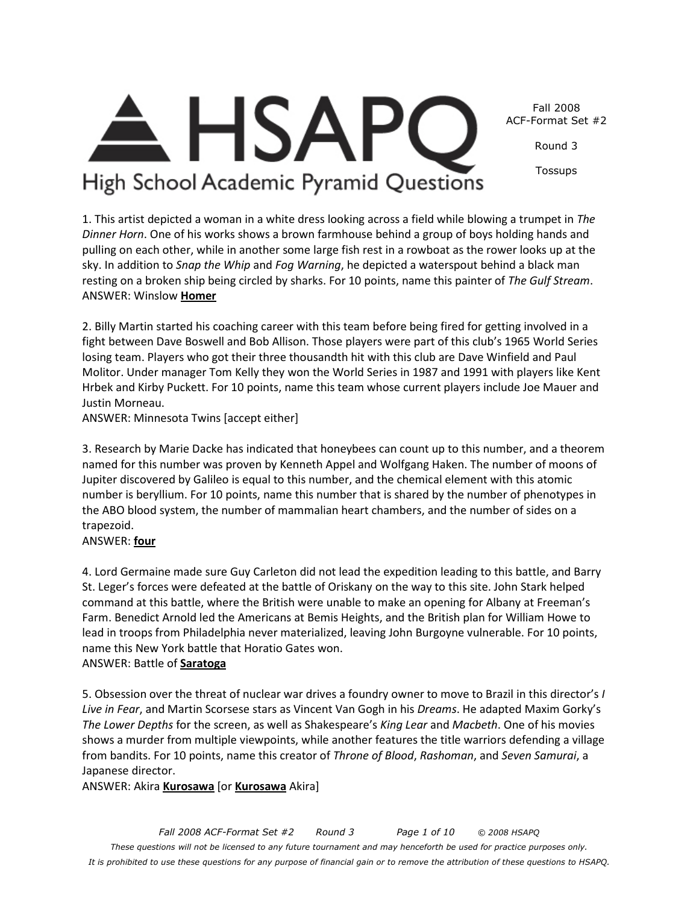Fall 2008 ACF-Format Set #2

Round 3

Tossups

High School Academic Pyramid Questions

1. This artist depicted a woman in a white dress looking across a field while blowing a trumpet in *The Dinner Horn*. One of his works shows a brown farmhouse behind a group of boys holding hands and pulling on each other, while in another some large fish rest in a rowboat as the rower looks up at the sky. In addition to *Snap the Whip* and *Fog Warning*, he depicted a waterspout behind a black man resting on a broken ship being circled by sharks. For 10 points, name this painter of *The Gulf Stream*. ANSWER: Winslow **Homer**

2. Billy Martin started his coaching career with this team before being fired for getting involved in a fight between Dave Boswell and Bob Allison. Those players were part of this club's 1965 World Series losing team. Players who got their three thousandth hit with this club are Dave Winfield and Paul Molitor. Under manager Tom Kelly they won the World Series in 1987 and 1991 with players like Kent Hrbek and Kirby Puckett. For 10 points, name this team whose current players include Joe Mauer and Justin Morneau.

ANSWER: Minnesota Twins [accept either]

3. Research by Marie Dacke has indicated that honeybees can count up to this number, and a theorem named for this number was proven by Kenneth Appel and Wolfgang Haken. The number of moons of Jupiter discovered by Galileo is equal to this number, and the chemical element with this atomic number is beryllium. For 10 points, name this number that is shared by the number of phenotypes in the ABO blood system, the number of mammalian heart chambers, and the number of sides on a trapezoid.

#### ANSWER: **four**

4. Lord Germaine made sure Guy Carleton did not lead the expedition leading to this battle, and Barry St. Leger's forces were defeated at the battle of Oriskany on the way to this site. John Stark helped command at this battle, where the British were unable to make an opening for Albany at Freeman's Farm. Benedict Arnold led the Americans at Bemis Heights, and the British plan for William Howe to lead in troops from Philadelphia never materialized, leaving John Burgoyne vulnerable. For 10 points, name this New York battle that Horatio Gates won.

ANSWER: Battle of **Saratoga**

5. Obsession over the threat of nuclear war drives a foundry owner to move to Brazil in this director's *I Live in Fear*, and Martin Scorsese stars as Vincent Van Gogh in his *Dreams*. He adapted Maxim Gorky's *The Lower Depths* for the screen, as well as Shakespeare's *King Lear* and *Macbeth*. One of his movies shows a murder from multiple viewpoints, while another features the title warriors defending a village from bandits. For 10 points, name this creator of *Throne of Blood*, *Rashoman*, and *Seven Samurai*, a Japanese director.

ANSWER: Akira **Kurosawa** [or **Kurosawa** Akira]

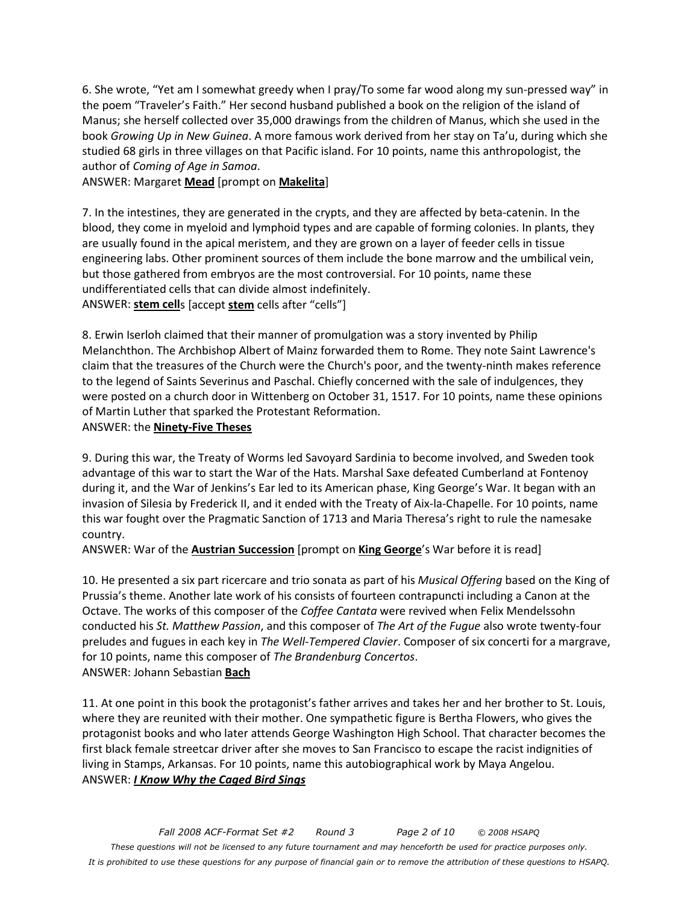6. She wrote, "Yet am I somewhat greedy when I pray/To some far wood along my sun-pressed way" in the poem "Traveler's Faith." Her second husband published a book on the religion of the island of Manus; she herself collected over 35,000 drawings from the children of Manus, which she used in the book *Growing Up in New Guinea*. A more famous work derived from her stay on Ta'u, during which she studied 68 girls in three villages on that Pacific island. For 10 points, name this anthropologist, the author of *Coming of Age in Samoa*.

ANSWER: Margaret **Mead** [prompt on **Makelita**]

7. In the intestines, they are generated in the crypts, and they are affected by beta-catenin. In the blood, they come in myeloid and lymphoid types and are capable of forming colonies. In plants, they are usually found in the apical meristem, and they are grown on a layer of feeder cells in tissue engineering labs. Other prominent sources of them include the bone marrow and the umbilical vein, but those gathered from embryos are the most controversial. For 10 points, name these undifferentiated cells that can divide almost indefinitely. ANSWER: **stem cell**s [accept **stem** cells after "cells"]

8. Erwin Iserloh claimed that their manner of promulgation was a story invented by Philip Melanchthon. The Archbishop Albert of Mainz forwarded them to Rome. They note Saint Lawrence's claim that the treasures of the Church were the Church's poor, and the twenty-ninth makes reference to the legend of Saints Severinus and Paschal. Chiefly concerned with the sale of indulgences, they were posted on a church door in Wittenberg on October 31, 1517. For 10 points, name these opinions of Martin Luther that sparked the Protestant Reformation.

#### ANSWER: the **Ninety-Five Theses**

9. During this war, the Treaty of Worms led Savoyard Sardinia to become involved, and Sweden took advantage of this war to start the War of the Hats. Marshal Saxe defeated Cumberland at Fontenoy during it, and the War of Jenkins's Ear led to its American phase, King George's War. It began with an invasion of Silesia by Frederick II, and it ended with the Treaty of Aix-la-Chapelle. For 10 points, name this war fought over the Pragmatic Sanction of 1713 and Maria Theresa's right to rule the namesake country.

ANSWER: War of the **Austrian Succession** [prompt on **King George**'s War before it is read]

10. He presented a six part ricercare and trio sonata as part of his *Musical Offering* based on the King of Prussia's theme. Another late work of his consists of fourteen contrapuncti including a Canon at the Octave. The works of this composer of the *Coffee Cantata* were revived when Felix Mendelssohn conducted his *St. Matthew Passion*, and this composer of *The Art of the Fugue* also wrote twenty-four preludes and fugues in each key in *The Well-Tempered Clavier*. Composer of six concerti for a margrave, for 10 points, name this composer of *The Brandenburg Concertos*. ANSWER: Johann Sebastian **Bach**

11. At one point in this book the protagonist's father arrives and takes her and her brother to St. Louis, where they are reunited with their mother. One sympathetic figure is Bertha Flowers, who gives the protagonist books and who later attends George Washington High School. That character becomes the first black female streetcar driver after she moves to San Francisco to escape the racist indignities of living in Stamps, Arkansas. For 10 points, name this autobiographical work by Maya Angelou. ANSWER: *I Know Why the Caged Bird Sings*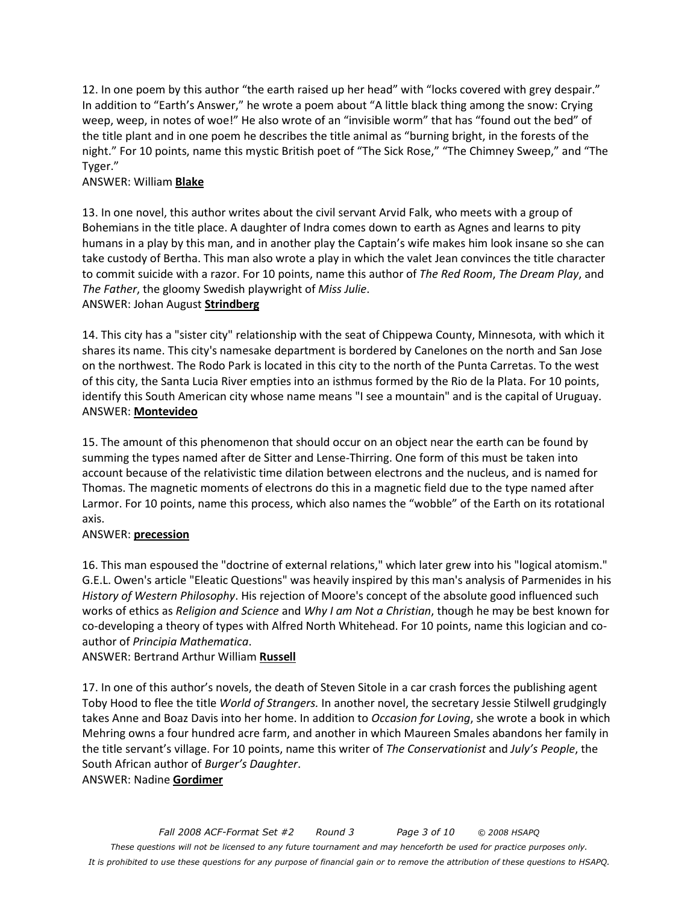12. In one poem by this author "the earth raised up her head" with "locks covered with grey despair." In addition to "Earth's Answer," he wrote a poem about "A little black thing among the snow: Crying weep, weep, in notes of woe!" He also wrote of an "invisible worm" that has "found out the bed" of the title plant and in one poem he describes the title animal as "burning bright, in the forests of the night." For 10 points, name this mystic British poet of "The Sick Rose," "The Chimney Sweep," and "The Tyger."

#### ANSWER: William **Blake**

13. In one novel, this author writes about the civil servant Arvid Falk, who meets with a group of Bohemians in the title place. A daughter of Indra comes down to earth as Agnes and learns to pity humans in a play by this man, and in another play the Captain's wife makes him look insane so she can take custody of Bertha. This man also wrote a play in which the valet Jean convinces the title character to commit suicide with a razor. For 10 points, name this author of *The Red Room*, *The Dream Play*, and *The Father*, the gloomy Swedish playwright of *Miss Julie*.

#### ANSWER: Johan August **Strindberg**

14. This city has a "sister city" relationship with the seat of Chippewa County, Minnesota, with which it shares its name. This city's namesake department is bordered by Canelones on the north and San Jose on the northwest. The Rodo Park is located in this city to the north of the Punta Carretas. To the west of this city, the Santa Lucia River empties into an isthmus formed by the Rio de la Plata. For 10 points, identify this South American city whose name means "I see a mountain" and is the capital of Uruguay. ANSWER: **Montevideo**

15. The amount of this phenomenon that should occur on an object near the earth can be found by summing the types named after de Sitter and Lense-Thirring. One form of this must be taken into account because of the relativistic time dilation between electrons and the nucleus, and is named for Thomas. The magnetic moments of electrons do this in a magnetic field due to the type named after Larmor. For 10 points, name this process, which also names the "wobble" of the Earth on its rotational axis.

#### ANSWER: **precession**

16. This man espoused the "doctrine of external relations," which later grew into his "logical atomism." G.E.L. Owen's article "Eleatic Questions" was heavily inspired by this man's analysis of Parmenides in his *History of Western Philosophy*. His rejection of Moore's concept of the absolute good influenced such works of ethics as *Religion and Science* and *Why I am Not a Christian*, though he may be best known for co-developing a theory of types with Alfred North Whitehead. For 10 points, name this logician and coauthor of *Principia Mathematica*.

#### ANSWER: Bertrand Arthur William **Russell**

17. In one of this author's novels, the death of Steven Sitole in a car crash forces the publishing agent Toby Hood to flee the title *World of Strangers.* In another novel, the secretary Jessie Stilwell grudgingly takes Anne and Boaz Davis into her home. In addition to *Occasion for Loving*, she wrote a book in which Mehring owns a four hundred acre farm, and another in which Maureen Smales abandons her family in the title servant's village. For 10 points, name this writer of *The Conservationist* and *July's People*, the South African author of *Burger's Daughter*. ANSWER: Nadine **Gordimer**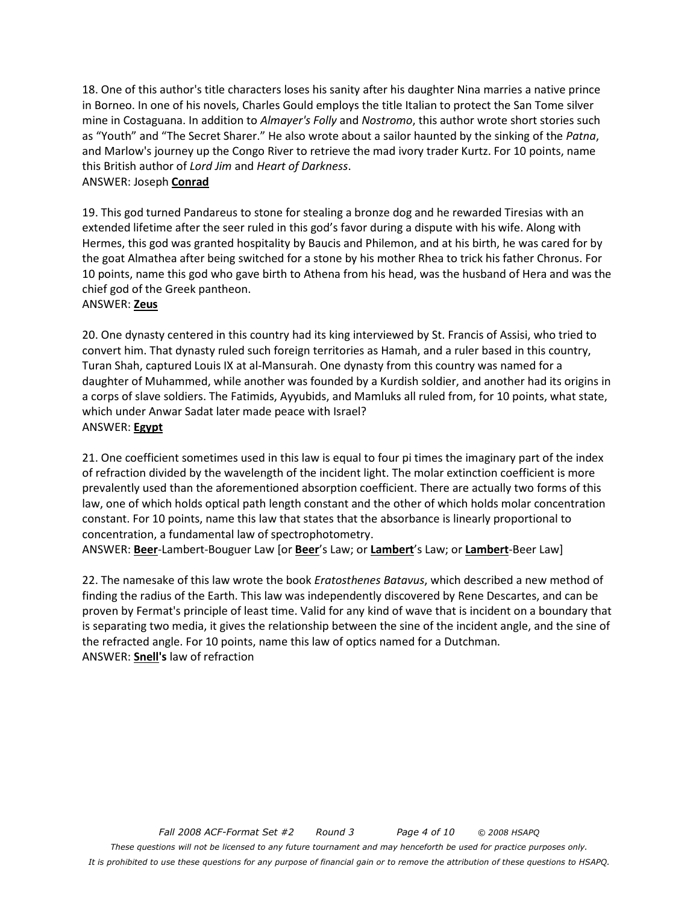18. One of this author's title characters loses his sanity after his daughter Nina marries a native prince in Borneo. In one of his novels, Charles Gould employs the title Italian to protect the San Tome silver mine in Costaguana. In addition to *Almayer's Folly* and *Nostromo*, this author wrote short stories such as "Youth" and "The Secret Sharer." He also wrote about a sailor haunted by the sinking of the *Patna*, and Marlow's journey up the Congo River to retrieve the mad ivory trader Kurtz. For 10 points, name this British author of *Lord Jim* and *Heart of Darkness*. ANSWER: Joseph **Conrad**

### 19. This god turned Pandareus to stone for stealing a bronze dog and he rewarded Tiresias with an extended lifetime after the seer ruled in this god's favor during a dispute with his wife. Along with Hermes, this god was granted hospitality by Baucis and Philemon, and at his birth, he was cared for by the goat Almathea after being switched for a stone by his mother Rhea to trick his father Chronus. For 10 points, name this god who gave birth to Athena from his head, was the husband of Hera and was the chief god of the Greek pantheon.

#### ANSWER: **Zeus**

20. One dynasty centered in this country had its king interviewed by St. Francis of Assisi, who tried to convert him. That dynasty ruled such foreign territories as Hamah, and a ruler based in this country, Turan Shah, captured Louis IX at al-Mansurah. One dynasty from this country was named for a daughter of Muhammed, while another was founded by a Kurdish soldier, and another had its origins in a corps of slave soldiers. The Fatimids, Ayyubids, and Mamluks all ruled from, for 10 points, what state, which under Anwar Sadat later made peace with Israel? ANSWER: **Egypt**

21. One coefficient sometimes used in this law is equal to four pi times the imaginary part of the index of refraction divided by the wavelength of the incident light. The molar extinction coefficient is more prevalently used than the aforementioned absorption coefficient. There are actually two forms of this law, one of which holds optical path length constant and the other of which holds molar concentration constant. For 10 points, name this law that states that the absorbance is linearly proportional to concentration, a fundamental law of spectrophotometry.

ANSWER: **Beer**-Lambert-Bouguer Law [or **Beer**'s Law; or **Lambert**'s Law; or **Lambert**-Beer Law]

22. The namesake of this law wrote the book *Eratosthenes Batavus*, which described a new method of finding the radius of the Earth. This law was independently discovered by Rene Descartes, and can be proven by Fermat's principle of least time. Valid for any kind of wave that is incident on a boundary that is separating two media, it gives the relationship between the sine of the incident angle, and the sine of the refracted angle. For 10 points, name this law of optics named for a Dutchman. ANSWER: **Snell's** law of refraction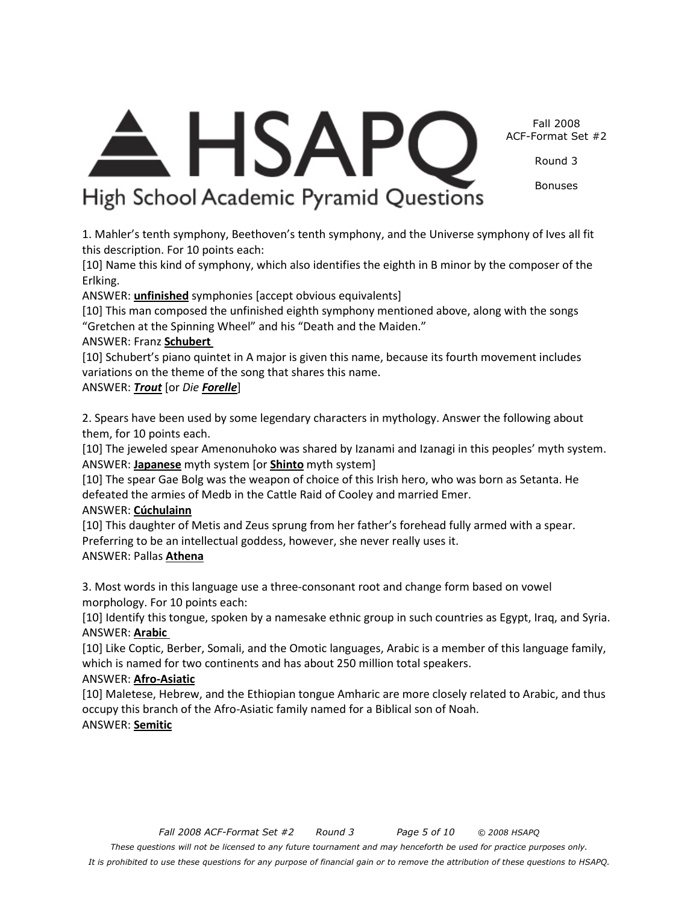*Fall 2008 ACF-Format Set #2 Round 3 Page 5 of 10 © 2008 HSAPQ These questions will not be licensed to any future tournament and may henceforth be used for practice purposes only. It is prohibited to use these questions for any purpose of financial gain or to remove the attribution of these questions to HSAPQ.* 

### ANSWER: **Semitic**

ANSWER: **Afro-Asiatic**

[10] This daughter of Metis and Zeus sprung from her father's forehead fully armed with a spear. Preferring to be an intellectual goddess, however, she never really uses it. ANSWER: Pallas **Athena**

3. Most words in this language use a three-consonant root and change form based on vowel

[10] Identify this tongue, spoken by a namesake ethnic group in such countries as Egypt, Iraq, and Syria.

ANSWER: **Arabic** 

[10] Like Coptic, Berber, Somali, and the Omotic languages, Arabic is a member of this language family, which is named for two continents and has about 250 million total speakers.

[10] Maletese, Hebrew, and the Ethiopian tongue Amharic are more closely related to Arabic, and thus

defeated the armies of Medb in the Cattle Raid of Cooley and married Emer. ANSWER: **Cúchulainn**

ANSWER: *Trout* [or *Die Forelle*]

2. Spears have been used by some legendary characters in mythology. Answer the following about

[10] The spear Gae Bolg was the weapon of choice of this Irish hero, who was born as Setanta. He

them, for 10 points each.

[10] The jeweled spear Amenonuhoko was shared by Izanami and Izanagi in this peoples' myth system.

ANSWER: Franz **Schubert**  [10] Schubert's piano quintet in A major is given this name, because its fourth movement includes

Erlking. ANSWER: **unfinished** symphonies [accept obvious equivalents]

**HSAPC** 

High School Academic Pyramid Questions

[10] This man composed the unfinished eighth symphony mentioned above, along with the songs

[10] Name this kind of symphony, which also identifies the eighth in B minor by the composer of the

variations on the theme of the song that shares this name.

ANSWER: **Japanese** myth system [or **Shinto** myth system]

# "Gretchen at the Spinning Wheel" and his "Death and the Maiden."

## morphology. For 10 points each:

occupy this branch of the Afro-Asiatic family named for a Biblical son of Noah.

1. Mahler's tenth symphony, Beethoven's tenth symphony, and the Universe symphony of Ives all fit this description. For 10 points each:

Fall 2008 ACF-Format Set #2

Round 3

Bonuses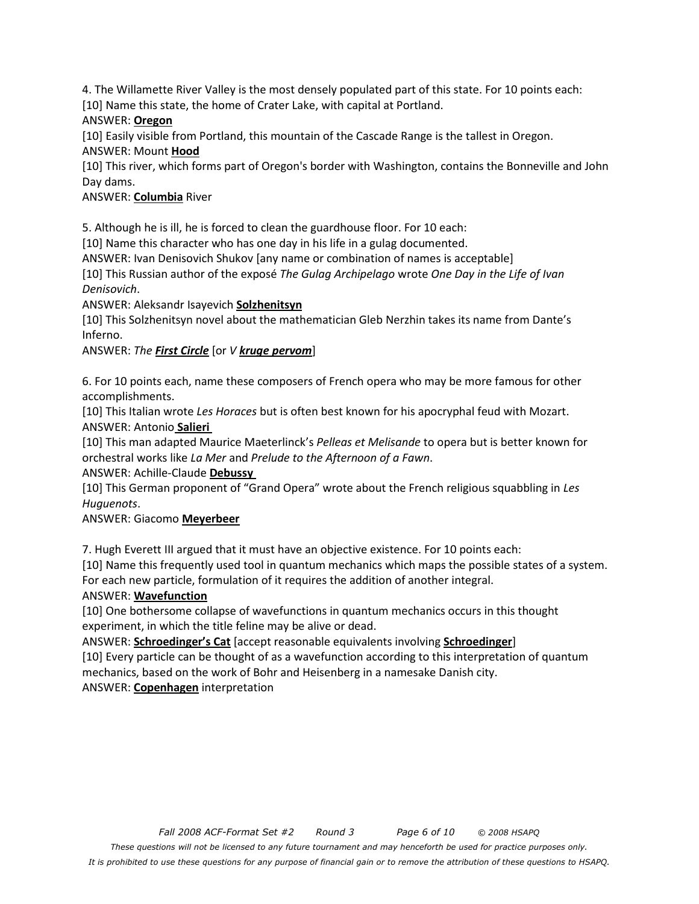4. The Willamette River Valley is the most densely populated part of this state. For 10 points each: [10] Name this state, the home of Crater Lake, with capital at Portland.

#### ANSWER: **Oregon**

[10] Easily visible from Portland, this mountain of the Cascade Range is the tallest in Oregon. ANSWER: Mount **Hood**

[10] This river, which forms part of Oregon's border with Washington, contains the Bonneville and John Day dams.

#### ANSWER: **Columbia** River

5. Although he is ill, he is forced to clean the guardhouse floor. For 10 each:

[10] Name this character who has one day in his life in a gulag documented.

ANSWER: Ivan Denisovich Shukov [any name or combination of names is acceptable]

[10] This Russian author of the exposé *The Gulag Archipelago* wrote *One Day in the Life of Ivan Denisovich*.

ANSWER: Aleksandr Isayevich **Solzhenitsyn**

[10] This Solzhenitsyn novel about the mathematician Gleb Nerzhin takes its name from Dante's Inferno.

#### ANSWER: *The First Circle* [or *V kruge pervom*]

6. For 10 points each, name these composers of French opera who may be more famous for other accomplishments.

[10] This Italian wrote *Les Horaces* but is often best known for his apocryphal feud with Mozart. ANSWER: Antonio **Salieri**

[10] This man adapted Maurice Maeterlinck's *Pelleas et Melisande* to opera but is better known for orchestral works like *La Mer* and *Prelude to the Afternoon of a Fawn*.

ANSWER: Achille-Claude **Debussy**

[10] This German proponent of "Grand Opera" wrote about the French religious squabbling in *Les Huguenots*.

ANSWER: Giacomo **Meyerbeer**

7. Hugh Everett III argued that it must have an objective existence. For 10 points each:

[10] Name this frequently used tool in quantum mechanics which maps the possible states of a system. For each new particle, formulation of it requires the addition of another integral.

#### ANSWER: **Wavefunction**

[10] One bothersome collapse of wavefunctions in quantum mechanics occurs in this thought experiment, in which the title feline may be alive or dead.

ANSWER: **Schroedinger's Cat** [accept reasonable equivalents involving **Schroedinger**]

[10] Every particle can be thought of as a wavefunction according to this interpretation of quantum mechanics, based on the work of Bohr and Heisenberg in a namesake Danish city.

### ANSWER: **Copenhagen** interpretation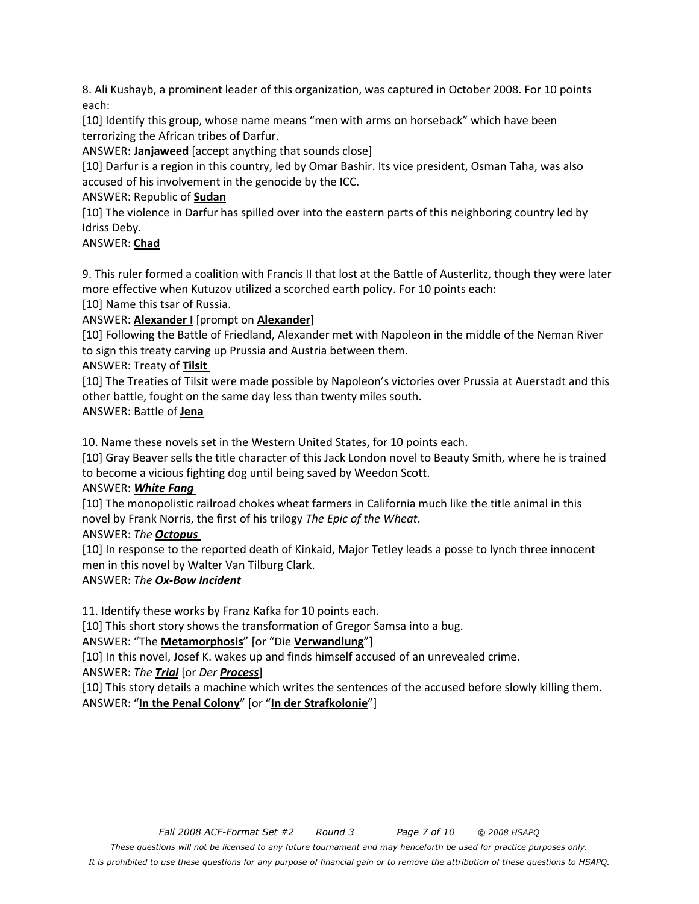8. Ali Kushayb, a prominent leader of this organization, was captured in October 2008. For 10 points each:

[10] Identify this group, whose name means "men with arms on horseback" which have been terrorizing the African tribes of Darfur.

ANSWER: **Janjaweed** [accept anything that sounds close]

[10] Darfur is a region in this country, led by Omar Bashir. Its vice president, Osman Taha, was also accused of his involvement in the genocide by the ICC.

### ANSWER: Republic of **Sudan**

[10] The violence in Darfur has spilled over into the eastern parts of this neighboring country led by Idriss Deby.

#### ANSWER: **Chad**

9. This ruler formed a coalition with Francis II that lost at the Battle of Austerlitz, though they were later more effective when Kutuzov utilized a scorched earth policy. For 10 points each:

[10] Name this tsar of Russia.

ANSWER: **Alexander I** [prompt on **Alexander**]

[10] Following the Battle of Friedland, Alexander met with Napoleon in the middle of the Neman River to sign this treaty carving up Prussia and Austria between them.

ANSWER: Treaty of **Tilsit** 

[10] The Treaties of Tilsit were made possible by Napoleon's victories over Prussia at Auerstadt and this other battle, fought on the same day less than twenty miles south.

ANSWER: Battle of **Jena**

10. Name these novels set in the Western United States, for 10 points each.

[10] Gray Beaver sells the title character of this Jack London novel to Beauty Smith, where he is trained to become a vicious fighting dog until being saved by Weedon Scott.

### ANSWER: *White Fang*

[10] The monopolistic railroad chokes wheat farmers in California much like the title animal in this novel by Frank Norris, the first of his trilogy *The Epic of the Wheat*.

ANSWER: *The Octopus* 

[10] In response to the reported death of Kinkaid, Major Tetley leads a posse to lynch three innocent men in this novel by Walter Van Tilburg Clark.

### ANSWER: *The Ox-Bow Incident*

11. Identify these works by Franz Kafka for 10 points each.

[10] This short story shows the transformation of Gregor Samsa into a bug.

ANSWER: "The **Metamorphosis**" [or "Die **Verwandlung**"]

[10] In this novel, Josef K. wakes up and finds himself accused of an unrevealed crime.

ANSWER: *The Trial* [or *Der Process*]

[10] This story details a machine which writes the sentences of the accused before slowly killing them. ANSWER: "**In the Penal Colony**" [or "**In der Strafkolonie**"]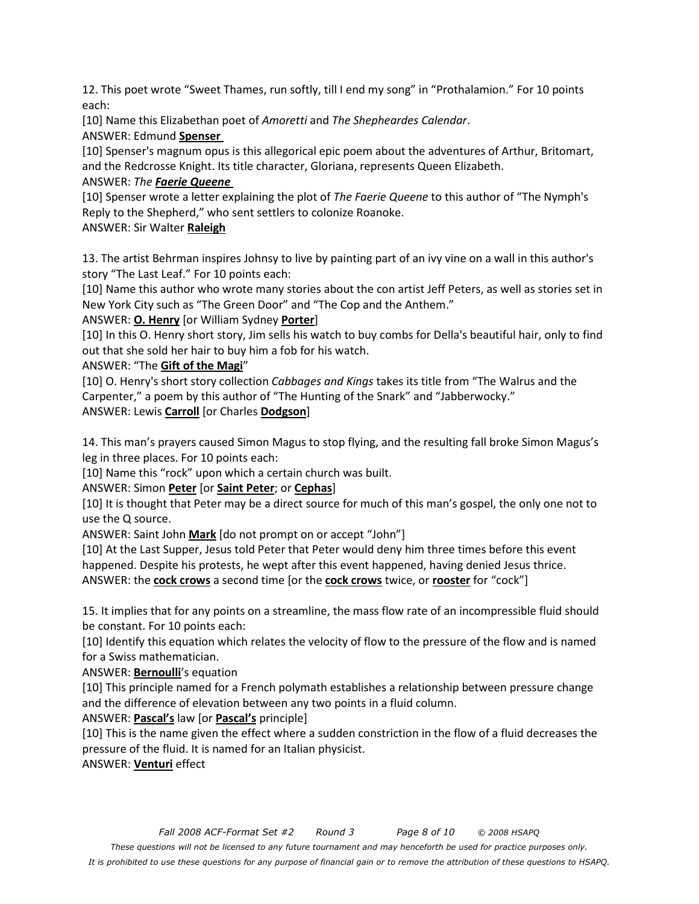12. This poet wrote "Sweet Thames, run softly, till I end my song" in "Prothalamion." For 10 points each:

[10] Name this Elizabethan poet of *Amoretti* and *The Shepheardes Calendar*.

ANSWER: Edmund **Spenser** 

[10] Spenser's magnum opus is this allegorical epic poem about the adventures of Arthur, Britomart, and the Redcrosse Knight. Its title character, Gloriana, represents Queen Elizabeth.

### ANSWER: *The Faerie Queene*

[10] Spenser wrote a letter explaining the plot of *The Faerie Queene* to this author of "The Nymph's Reply to the Shepherd," who sent settlers to colonize Roanoke.

ANSWER: Sir Walter **Raleigh**

13. The artist Behrman inspires Johnsy to live by painting part of an ivy vine on a wall in this author's story "The Last Leaf." For 10 points each:

[10] Name this author who wrote many stories about the con artist Jeff Peters, as well as stories set in New York City such as "The Green Door" and "The Cop and the Anthem."

ANSWER: **O. Henry** [or William Sydney **Porter**]

[10] In this O. Henry short story, Jim sells his watch to buy combs for Della's beautiful hair, only to find out that she sold her hair to buy him a fob for his watch.

### ANSWER: "The **Gift of the Magi**"

[10] O. Henry's short story collection *Cabbages and Kings* takes its title from "The Walrus and the Carpenter," a poem by this author of "The Hunting of the Snark" and "Jabberwocky." ANSWER: Lewis **Carroll** [or Charles **Dodgson**]

14. This man's prayers caused Simon Magus to stop flying, and the resulting fall broke Simon Magus's leg in three places. For 10 points each:

[10] Name this "rock" upon which a certain church was built.

ANSWER: Simon **Peter** [or **Saint Peter**; or **Cephas**]

[10] It is thought that Peter may be a direct source for much of this man's gospel, the only one not to use the Q source.

ANSWER: Saint John **Mark** [do not prompt on or accept "John"]

[10] At the Last Supper, Jesus told Peter that Peter would deny him three times before this event happened. Despite his protests, he wept after this event happened, having denied Jesus thrice. ANSWER: the **cock crows** a second time [or the **cock crows** twice, or **rooster** for "cock"]

15. It implies that for any points on a streamline, the mass flow rate of an incompressible fluid should be constant. For 10 points each:

[10] Identify this equation which relates the velocity of flow to the pressure of the flow and is named for a Swiss mathematician.

ANSWER: **Bernoulli**'s equation

[10] This principle named for a French polymath establishes a relationship between pressure change and the difference of elevation between any two points in a fluid column.

ANSWER: **Pascal's** law [or **Pascal's** principle]

[10] This is the name given the effect where a sudden constriction in the flow of a fluid decreases the pressure of the fluid. It is named for an Italian physicist.

ANSWER: **Venturi** effect

*These questions will not be licensed to any future tournament and may henceforth be used for practice purposes only.* 

*It is prohibited to use these questions for any purpose of financial gain or to remove the attribution of these questions to HSAPQ.*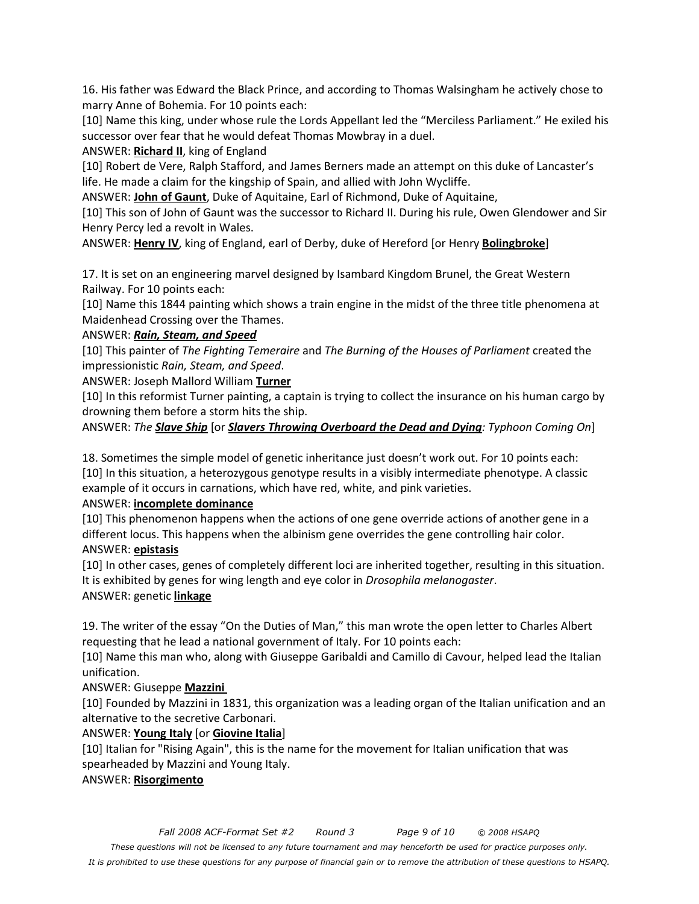16. His father was Edward the Black Prince, and according to Thomas Walsingham he actively chose to marry Anne of Bohemia. For 10 points each:

[10] Name this king, under whose rule the Lords Appellant led the "Merciless Parliament." He exiled his successor over fear that he would defeat Thomas Mowbray in a duel.

ANSWER: **Richard II**, king of England

[10] Robert de Vere, Ralph Stafford, and James Berners made an attempt on this duke of Lancaster's life. He made a claim for the kingship of Spain, and allied with John Wycliffe.

ANSWER: **John of Gaunt**, Duke of Aquitaine, Earl of Richmond, Duke of Aquitaine,

[10] This son of John of Gaunt was the successor to Richard II. During his rule, Owen Glendower and Sir Henry Percy led a revolt in Wales.

ANSWER: **Henry IV**, king of England, earl of Derby, duke of Hereford [or Henry **Bolingbroke**]

17. It is set on an engineering marvel designed by Isambard Kingdom Brunel, the Great Western Railway. For 10 points each:

[10] Name this 1844 painting which shows a train engine in the midst of the three title phenomena at Maidenhead Crossing over the Thames.

#### ANSWER: *Rain, Steam, and Speed*

[10] This painter of *The Fighting Temeraire* and *The Burning of the Houses of Parliament* created the impressionistic *Rain, Steam, and Speed*.

ANSWER: Joseph Mallord William **Turner**

[10] In this reformist Turner painting, a captain is trying to collect the insurance on his human cargo by drowning them before a storm hits the ship.

ANSWER: *The Slave Ship* [or *Slavers Throwing Overboard the Dead and Dying: Typhoon Coming On*]

18. Sometimes the simple model of genetic inheritance just doesn't work out. For 10 points each: [10] In this situation, a heterozygous genotype results in a visibly intermediate phenotype. A classic example of it occurs in carnations, which have red, white, and pink varieties.

#### ANSWER: **incomplete dominance**

[10] This phenomenon happens when the actions of one gene override actions of another gene in a different locus. This happens when the albinism gene overrides the gene controlling hair color. ANSWER: **epistasis**

[10] In other cases, genes of completely different loci are inherited together, resulting in this situation. It is exhibited by genes for wing length and eye color in *Drosophila melanogaster*. ANSWER: genetic **linkage**

19. The writer of the essay "On the Duties of Man," this man wrote the open letter to Charles Albert requesting that he lead a national government of Italy. For 10 points each:

[10] Name this man who, along with Giuseppe Garibaldi and Camillo di Cavour, helped lead the Italian unification.

#### ANSWER: Giuseppe **Mazzini**

[10] Founded by Mazzini in 1831, this organization was a leading organ of the Italian unification and an alternative to the secretive Carbonari.

#### ANSWER: **Young Italy** [or **Giovine Italia**]

[10] Italian for "Rising Again", this is the name for the movement for Italian unification that was spearheaded by Mazzini and Young Italy.

#### ANSWER: **Risorgimento**

*These questions will not be licensed to any future tournament and may henceforth be used for practice purposes only.* 

*It is prohibited to use these questions for any purpose of financial gain or to remove the attribution of these questions to HSAPQ.*